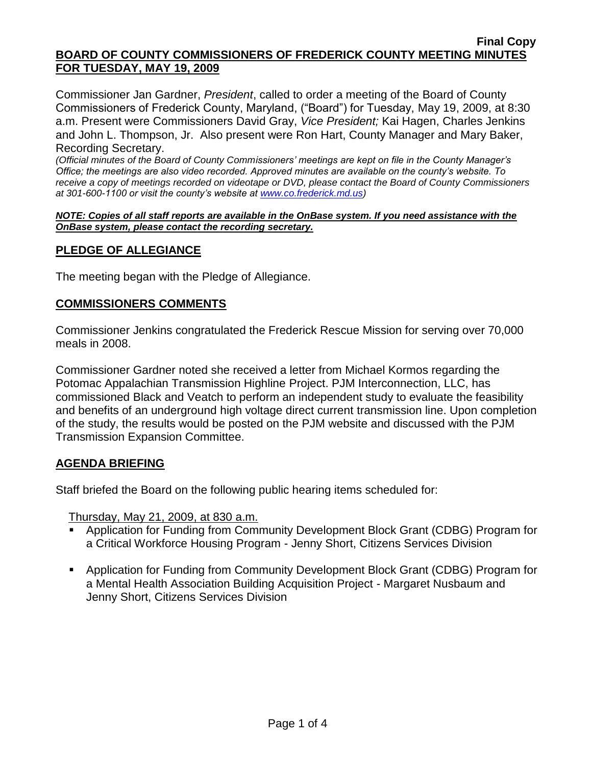Commissioner Jan Gardner, *President*, called to order a meeting of the Board of County Commissioners of Frederick County, Maryland, ("Board") for Tuesday, May 19, 2009, at 8:30 a.m. Present were Commissioners David Gray, *Vice President;* Kai Hagen, Charles Jenkins and John L. Thompson, Jr. Also present were Ron Hart, County Manager and Mary Baker, Recording Secretary.

*(Official minutes of the Board of County Commissioners' meetings are kept on file in the County Manager's Office; the meetings are also video recorded. Approved minutes are available on the county's website. To receive a copy of meetings recorded on videotape or DVD, please contact the Board of County Commissioners at 301-600-1100 or visit the county's website at [www.co.frederick.md.us\)](http://www.co.frederick.md.us/)*

#### *NOTE: Copies of all staff reports are available in the OnBase system. If you need assistance with the OnBase system, please contact the recording secretary.*

# **PLEDGE OF ALLEGIANCE**

The meeting began with the Pledge of Allegiance.

## **COMMISSIONERS COMMENTS**

Commissioner Jenkins congratulated the Frederick Rescue Mission for serving over 70,000 meals in 2008.

Commissioner Gardner noted she received a letter from Michael Kormos regarding the Potomac Appalachian Transmission Highline Project. PJM Interconnection, LLC, has commissioned Black and Veatch to perform an independent study to evaluate the feasibility and benefits of an underground high voltage direct current transmission line. Upon completion of the study, the results would be posted on the PJM website and discussed with the PJM Transmission Expansion Committee.

## **AGENDA BRIEFING**

Staff briefed the Board on the following public hearing items scheduled for:

Thursday, May 21, 2009, at 830 a.m.

- Application for Funding from Community Development Block Grant (CDBG) Program for a Critical Workforce Housing Program - Jenny Short, Citizens Services Division
- Application for Funding from Community Development Block Grant (CDBG) Program for a Mental Health Association Building Acquisition Project - Margaret Nusbaum and Jenny Short, Citizens Services Division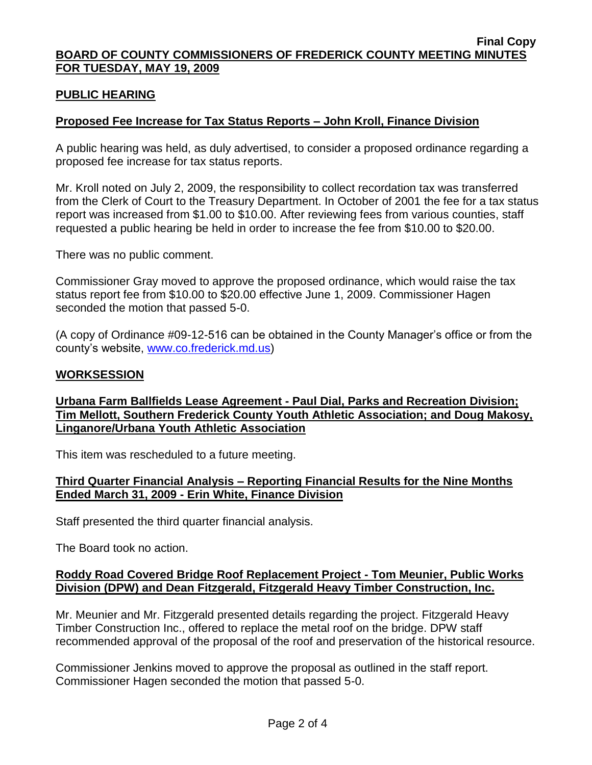## **PUBLIC HEARING**

## **Proposed Fee Increase for Tax Status Reports – John Kroll, Finance Division**

A public hearing was held, as duly advertised, to consider a proposed ordinance regarding a proposed fee increase for tax status reports.

Mr. Kroll noted on July 2, 2009, the responsibility to collect recordation tax was transferred from the Clerk of Court to the Treasury Department. In October of 2001 the fee for a tax status report was increased from \$1.00 to \$10.00. After reviewing fees from various counties, staff requested a public hearing be held in order to increase the fee from \$10.00 to \$20.00.

There was no public comment.

Commissioner Gray moved to approve the proposed ordinance, which would raise the tax status report fee from \$10.00 to \$20.00 effective June 1, 2009. Commissioner Hagen seconded the motion that passed 5-0.

(A copy of Ordinance #09-12-516 can be obtained in the County Manager's office or from the county's website, [www.co.frederick.md.us\)](www.co.frederick.md.us)

### **WORKSESSION**

**Urbana Farm Ballfields Lease Agreement - Paul Dial, Parks and Recreation Division; Tim Mellott, Southern Frederick County Youth Athletic Association; and Doug Makosy, Linganore/Urbana Youth Athletic Association**

This item was rescheduled to a future meeting.

### **Third Quarter Financial Analysis – Reporting Financial Results for the Nine Months Ended March 31, 2009 - Erin White, Finance Division**

Staff presented the third quarter financial analysis.

The Board took no action.

### **Roddy Road Covered Bridge Roof Replacement Project - Tom Meunier, Public Works Division (DPW) and Dean Fitzgerald, Fitzgerald Heavy Timber Construction, Inc.**

Mr. Meunier and Mr. Fitzgerald presented details regarding the project. Fitzgerald Heavy Timber Construction Inc., offered to replace the metal roof on the bridge. DPW staff recommended approval of the proposal of the roof and preservation of the historical resource.

Commissioner Jenkins moved to approve the proposal as outlined in the staff report. Commissioner Hagen seconded the motion that passed 5-0.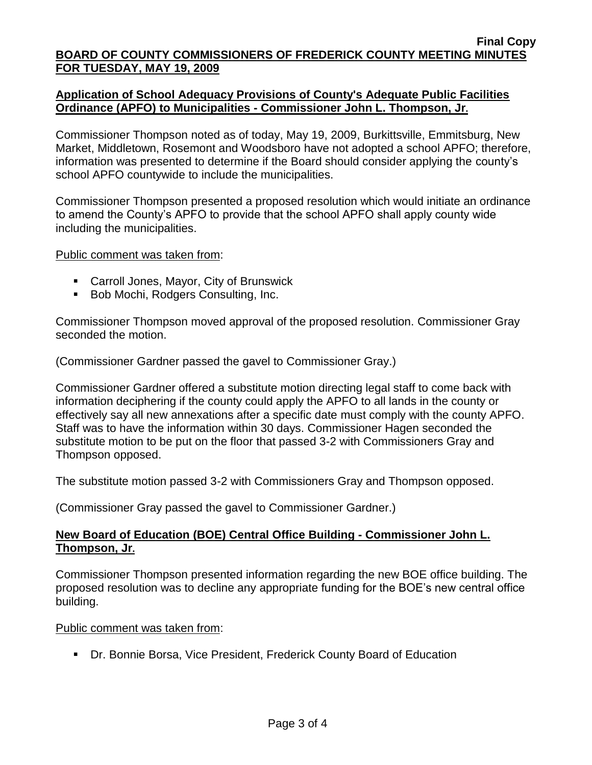## **Application of School Adequacy Provisions of County's Adequate Public Facilities Ordinance (APFO) to Municipalities - Commissioner John L. Thompson, Jr.**

Commissioner Thompson noted as of today, May 19, 2009, Burkittsville, Emmitsburg, New Market, Middletown, Rosemont and Woodsboro have not adopted a school APFO; therefore, information was presented to determine if the Board should consider applying the county's school APFO countywide to include the municipalities.

Commissioner Thompson presented a proposed resolution which would initiate an ordinance to amend the County's APFO to provide that the school APFO shall apply county wide including the municipalities.

Public comment was taken from:

- Carroll Jones, Mayor, City of Brunswick
- Bob Mochi, Rodgers Consulting, Inc.

Commissioner Thompson moved approval of the proposed resolution. Commissioner Gray seconded the motion.

(Commissioner Gardner passed the gavel to Commissioner Gray.)

Commissioner Gardner offered a substitute motion directing legal staff to come back with information deciphering if the county could apply the APFO to all lands in the county or effectively say all new annexations after a specific date must comply with the county APFO. Staff was to have the information within 30 days. Commissioner Hagen seconded the substitute motion to be put on the floor that passed 3-2 with Commissioners Gray and Thompson opposed.

The substitute motion passed 3-2 with Commissioners Gray and Thompson opposed.

(Commissioner Gray passed the gavel to Commissioner Gardner.)

## **New Board of Education (BOE) Central Office Building - Commissioner John L. Thompson, Jr.**

Commissioner Thompson presented information regarding the new BOE office building. The proposed resolution was to decline any appropriate funding for the BOE's new central office building.

### Public comment was taken from:

Dr. Bonnie Borsa, Vice President, Frederick County Board of Education